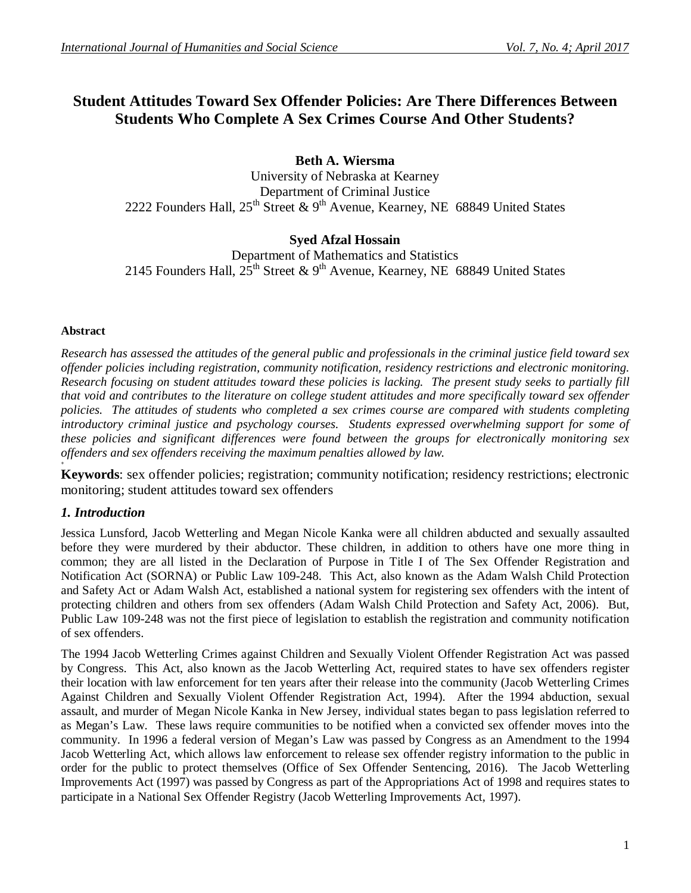# **Student Attitudes Toward Sex Offender Policies: Are There Differences Between Students Who Complete A Sex Crimes Course And Other Students?**

**Beth A. Wiersma**

University of Nebraska at Kearney Department of Criminal Justice 2222 Founders Hall,  $25^{th}$  Street & 9<sup>th</sup> Avenue, Kearney, NE 68849 United States

# **Syed Afzal Hossain**

Department of Mathematics and Statistics 2145 Founders Hall,  $25^{th}$  Street & 9<sup>th</sup> Avenue, Kearney, NE 68849 United States

### **Abstract**

*Research has assessed the attitudes of the general public and professionals in the criminal justice field toward sex offender policies including registration, community notification, residency restrictions and electronic monitoring. Research focusing on student attitudes toward these policies is lacking. The present study seeks to partially fill that void and contributes to the literature on college student attitudes and more specifically toward sex offender policies. The attitudes of students who completed a sex crimes course are compared with students completing introductory criminal justice and psychology courses. Students expressed overwhelming support for some of these policies and significant differences were found between the groups for electronically monitoring sex offenders and sex offenders receiving the maximum penalties allowed by law.* **+**

**Keywords**: sex offender policies; registration; community notification; residency restrictions; electronic monitoring; student attitudes toward sex offenders

# *1. Introduction*

Jessica Lunsford, Jacob Wetterling and Megan Nicole Kanka were all children abducted and sexually assaulted before they were murdered by their abductor. These children, in addition to others have one more thing in common; they are all listed in the Declaration of Purpose in Title I of The Sex Offender Registration and Notification Act (SORNA) or Public Law 109-248. This Act, also known as the Adam Walsh Child Protection and Safety Act or Adam Walsh Act, established a national system for registering sex offenders with the intent of protecting children and others from sex offenders (Adam Walsh Child Protection and Safety Act, 2006). But, Public Law 109-248 was not the first piece of legislation to establish the registration and community notification of sex offenders.

The 1994 Jacob Wetterling Crimes against Children and Sexually Violent Offender Registration Act was passed by Congress. This Act, also known as the Jacob Wetterling Act, required states to have sex offenders register their location with law enforcement for ten years after their release into the community (Jacob Wetterling Crimes Against Children and Sexually Violent Offender Registration Act, 1994). After the 1994 abduction, sexual assault, and murder of Megan Nicole Kanka in New Jersey, individual states began to pass legislation referred to as Megan's Law. These laws require communities to be notified when a convicted sex offender moves into the community. In 1996 a federal version of Megan's Law was passed by Congress as an Amendment to the 1994 Jacob Wetterling Act, which allows law enforcement to release sex offender registry information to the public in order for the public to protect themselves (Office of Sex Offender Sentencing, 2016). The Jacob Wetterling Improvements Act (1997) was passed by Congress as part of the Appropriations Act of 1998 and requires states to participate in a National Sex Offender Registry (Jacob Wetterling Improvements Act, 1997).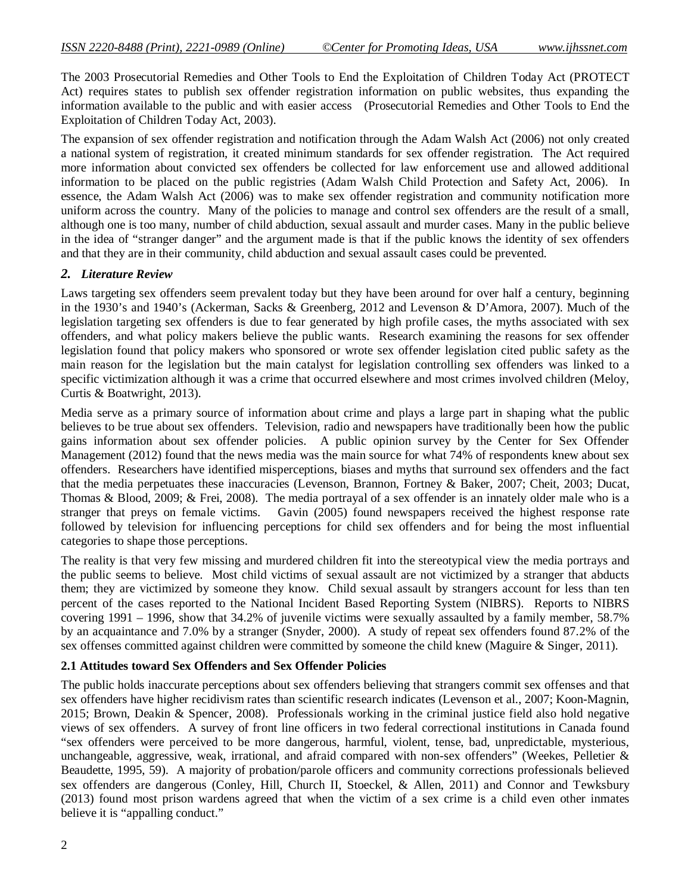The 2003 Prosecutorial Remedies and Other Tools to End the Exploitation of Children Today Act (PROTECT Act) requires states to publish sex offender registration information on public websites, thus expanding the information available to the public and with easier access (Prosecutorial Remedies and Other Tools to End the Exploitation of Children Today Act, 2003).

The expansion of sex offender registration and notification through the Adam Walsh Act (2006) not only created a national system of registration, it created minimum standards for sex offender registration. The Act required more information about convicted sex offenders be collected for law enforcement use and allowed additional information to be placed on the public registries (Adam Walsh Child Protection and Safety Act, 2006). In essence, the Adam Walsh Act (2006) was to make sex offender registration and community notification more uniform across the country. Many of the policies to manage and control sex offenders are the result of a small, although one is too many, number of child abduction, sexual assault and murder cases. Many in the public believe in the idea of "stranger danger" and the argument made is that if the public knows the identity of sex offenders and that they are in their community, child abduction and sexual assault cases could be prevented.

#### *2. Literature Review*

Laws targeting sex offenders seem prevalent today but they have been around for over half a century, beginning in the 1930's and 1940's (Ackerman, Sacks & Greenberg, 2012 and Levenson & D'Amora, 2007). Much of the legislation targeting sex offenders is due to fear generated by high profile cases, the myths associated with sex offenders, and what policy makers believe the public wants. Research examining the reasons for sex offender legislation found that policy makers who sponsored or wrote sex offender legislation cited public safety as the main reason for the legislation but the main catalyst for legislation controlling sex offenders was linked to a specific victimization although it was a crime that occurred elsewhere and most crimes involved children (Meloy, Curtis & Boatwright, 2013).

Media serve as a primary source of information about crime and plays a large part in shaping what the public believes to be true about sex offenders. Television, radio and newspapers have traditionally been how the public gains information about sex offender policies. A public opinion survey by the Center for Sex Offender Management (2012) found that the news media was the main source for what 74% of respondents knew about sex offenders. Researchers have identified misperceptions, biases and myths that surround sex offenders and the fact that the media perpetuates these inaccuracies (Levenson, Brannon, Fortney & Baker, 2007; Cheit, 2003; Ducat, Thomas & Blood, 2009; & Frei, 2008). The media portrayal of a sex offender is an innately older male who is a stranger that preys on female victims. Gavin (2005) found newspapers received the highest response rate followed by television for influencing perceptions for child sex offenders and for being the most influential categories to shape those perceptions.

The reality is that very few missing and murdered children fit into the stereotypical view the media portrays and the public seems to believe. Most child victims of sexual assault are not victimized by a stranger that abducts them; they are victimized by someone they know. Child sexual assault by strangers account for less than ten percent of the cases reported to the National Incident Based Reporting System (NIBRS). Reports to NIBRS covering 1991 – 1996, show that 34.2% of juvenile victims were sexually assaulted by a family member, 58.7% by an acquaintance and 7.0% by a stranger (Snyder, 2000). A study of repeat sex offenders found 87.2% of the sex offenses committed against children were committed by someone the child knew (Maguire & Singer, 2011).

#### **2.1 Attitudes toward Sex Offenders and Sex Offender Policies**

The public holds inaccurate perceptions about sex offenders believing that strangers commit sex offenses and that sex offenders have higher recidivism rates than scientific research indicates (Levenson et al., 2007; Koon-Magnin, 2015; Brown, Deakin & Spencer, 2008). Professionals working in the criminal justice field also hold negative views of sex offenders. A survey of front line officers in two federal correctional institutions in Canada found "sex offenders were perceived to be more dangerous, harmful, violent, tense, bad, unpredictable, mysterious, unchangeable, aggressive, weak, irrational, and afraid compared with non-sex offenders" (Weekes, Pelletier & Beaudette, 1995, 59). A majority of probation/parole officers and community corrections professionals believed sex offenders are dangerous (Conley, Hill, Church II, Stoeckel, & Allen, 2011) and Connor and Tewksbury (2013) found most prison wardens agreed that when the victim of a sex crime is a child even other inmates believe it is "appalling conduct."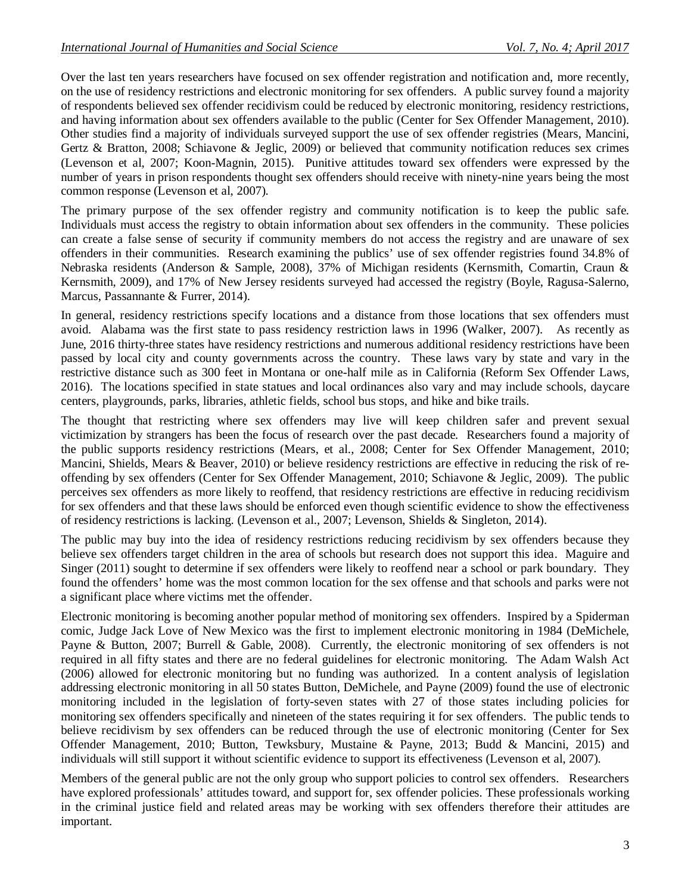Over the last ten years researchers have focused on sex offender registration and notification and, more recently, on the use of residency restrictions and electronic monitoring for sex offenders. A public survey found a majority of respondents believed sex offender recidivism could be reduced by electronic monitoring, residency restrictions, and having information about sex offenders available to the public (Center for Sex Offender Management, 2010). Other studies find a majority of individuals surveyed support the use of sex offender registries (Mears, Mancini, Gertz & Bratton, 2008; Schiavone & Jeglic, 2009) or believed that community notification reduces sex crimes (Levenson et al, 2007; Koon-Magnin, 2015). Punitive attitudes toward sex offenders were expressed by the number of years in prison respondents thought sex offenders should receive with ninety-nine years being the most common response (Levenson et al, 2007).

The primary purpose of the sex offender registry and community notification is to keep the public safe. Individuals must access the registry to obtain information about sex offenders in the community. These policies can create a false sense of security if community members do not access the registry and are unaware of sex offenders in their communities. Research examining the publics' use of sex offender registries found 34.8% of Nebraska residents (Anderson & Sample, 2008), 37% of Michigan residents (Kernsmith, Comartin, Craun & Kernsmith, 2009), and 17% of New Jersey residents surveyed had accessed the registry (Boyle, Ragusa-Salerno, Marcus, Passannante & Furrer, 2014).

In general, residency restrictions specify locations and a distance from those locations that sex offenders must avoid. Alabama was the first state to pass residency restriction laws in 1996 (Walker, 2007). As recently as June, 2016 thirty-three states have residency restrictions and numerous additional residency restrictions have been passed by local city and county governments across the country. These laws vary by state and vary in the restrictive distance such as 300 feet in Montana or one-half mile as in California (Reform Sex Offender Laws, 2016). The locations specified in state statues and local ordinances also vary and may include schools, daycare centers, playgrounds, parks, libraries, athletic fields, school bus stops, and hike and bike trails.

The thought that restricting where sex offenders may live will keep children safer and prevent sexual victimization by strangers has been the focus of research over the past decade. Researchers found a majority of the public supports residency restrictions (Mears, et al., 2008; Center for Sex Offender Management, 2010; Mancini, Shields, Mears & Beaver, 2010) or believe residency restrictions are effective in reducing the risk of reoffending by sex offenders (Center for Sex Offender Management, 2010; Schiavone & Jeglic, 2009). The public perceives sex offenders as more likely to reoffend, that residency restrictions are effective in reducing recidivism for sex offenders and that these laws should be enforced even though scientific evidence to show the effectiveness of residency restrictions is lacking. (Levenson et al., 2007; Levenson, Shields & Singleton, 2014).

The public may buy into the idea of residency restrictions reducing recidivism by sex offenders because they believe sex offenders target children in the area of schools but research does not support this idea. Maguire and Singer (2011) sought to determine if sex offenders were likely to reoffend near a school or park boundary. They found the offenders' home was the most common location for the sex offense and that schools and parks were not a significant place where victims met the offender.

Electronic monitoring is becoming another popular method of monitoring sex offenders. Inspired by a Spiderman comic, Judge Jack Love of New Mexico was the first to implement electronic monitoring in 1984 (DeMichele, Payne & Button, 2007; Burrell & Gable, 2008). Currently, the electronic monitoring of sex offenders is not required in all fifty states and there are no federal guidelines for electronic monitoring. The Adam Walsh Act (2006) allowed for electronic monitoring but no funding was authorized. In a content analysis of legislation addressing electronic monitoring in all 50 states Button, DeMichele, and Payne (2009) found the use of electronic monitoring included in the legislation of forty-seven states with 27 of those states including policies for monitoring sex offenders specifically and nineteen of the states requiring it for sex offenders. The public tends to believe recidivism by sex offenders can be reduced through the use of electronic monitoring (Center for Sex Offender Management, 2010; Button, Tewksbury, Mustaine & Payne, 2013; Budd & Mancini, 2015) and individuals will still support it without scientific evidence to support its effectiveness (Levenson et al, 2007).

Members of the general public are not the only group who support policies to control sex offenders. Researchers have explored professionals' attitudes toward, and support for, sex offender policies. These professionals working in the criminal justice field and related areas may be working with sex offenders therefore their attitudes are important.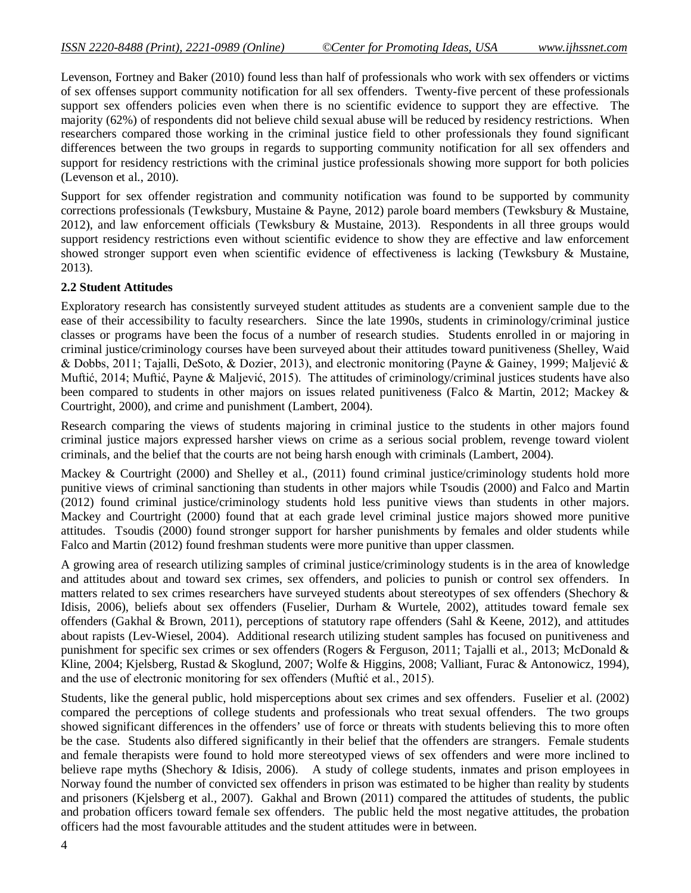Levenson, Fortney and Baker (2010) found less than half of professionals who work with sex offenders or victims of sex offenses support community notification for all sex offenders. Twenty-five percent of these professionals support sex offenders policies even when there is no scientific evidence to support they are effective. The majority (62%) of respondents did not believe child sexual abuse will be reduced by residency restrictions. When researchers compared those working in the criminal justice field to other professionals they found significant differences between the two groups in regards to supporting community notification for all sex offenders and support for residency restrictions with the criminal justice professionals showing more support for both policies (Levenson et al., 2010).

Support for sex offender registration and community notification was found to be supported by community corrections professionals (Tewksbury, Mustaine & Payne, 2012) parole board members (Tewksbury & Mustaine, 2012), and law enforcement officials (Tewksbury & Mustaine, 2013). Respondents in all three groups would support residency restrictions even without scientific evidence to show they are effective and law enforcement showed stronger support even when scientific evidence of effectiveness is lacking (Tewksbury & Mustaine, 2013).

#### **2.2 Student Attitudes**

Exploratory research has consistently surveyed student attitudes as students are a convenient sample due to the ease of their accessibility to faculty researchers. Since the late 1990s, students in criminology/criminal justice classes or programs have been the focus of a number of research studies. Students enrolled in or majoring in criminal justice/criminology courses have been surveyed about their attitudes toward punitiveness (Shelley, Waid & Dobbs, 2011; Tajalli, DeSoto, & Dozier, 2013), and electronic monitoring (Payne & Gainey, 1999; Maljević & Muftić, 2014; Muftić, Payne & Maljević, 2015). The attitudes of criminology/criminal justices students have also been compared to students in other majors on issues related punitiveness (Falco & Martin, 2012; Mackey & Courtright, 2000), and crime and punishment (Lambert, 2004).

Research comparing the views of students majoring in criminal justice to the students in other majors found criminal justice majors expressed harsher views on crime as a serious social problem, revenge toward violent criminals, and the belief that the courts are not being harsh enough with criminals (Lambert, 2004).

Mackey & Courtright (2000) and Shelley et al., (2011) found criminal justice/criminology students hold more punitive views of criminal sanctioning than students in other majors while Tsoudis (2000) and Falco and Martin (2012) found criminal justice/criminology students hold less punitive views than students in other majors. Mackey and Courtright (2000) found that at each grade level criminal justice majors showed more punitive attitudes. Tsoudis (2000) found stronger support for harsher punishments by females and older students while Falco and Martin (2012) found freshman students were more punitive than upper classmen.

A growing area of research utilizing samples of criminal justice/criminology students is in the area of knowledge and attitudes about and toward sex crimes, sex offenders, and policies to punish or control sex offenders. In matters related to sex crimes researchers have surveyed students about stereotypes of sex offenders (Shechory & Idisis, 2006), beliefs about sex offenders (Fuselier, Durham & Wurtele, 2002), attitudes toward female sex offenders (Gakhal & Brown, 2011), perceptions of statutory rape offenders (Sahl & Keene, 2012), and attitudes about rapists (Lev-Wiesel, 2004). Additional research utilizing student samples has focused on punitiveness and punishment for specific sex crimes or sex offenders (Rogers & Ferguson, 2011; Tajalli et al., 2013; McDonald & Kline, 2004; Kjelsberg, Rustad & Skoglund, 2007; Wolfe & Higgins, 2008; Valliant, Furac & Antonowicz, 1994), and the use of electronic monitoring for sex offenders (Muftić et al., 2015).

Students, like the general public, hold misperceptions about sex crimes and sex offenders. Fuselier et al. (2002) compared the perceptions of college students and professionals who treat sexual offenders. The two groups showed significant differences in the offenders' use of force or threats with students believing this to more often be the case. Students also differed significantly in their belief that the offenders are strangers. Female students and female therapists were found to hold more stereotyped views of sex offenders and were more inclined to believe rape myths (Shechory & Idisis, 2006). A study of college students, inmates and prison employees in Norway found the number of convicted sex offenders in prison was estimated to be higher than reality by students and prisoners (Kjelsberg et al., 2007). Gakhal and Brown (2011) compared the attitudes of students, the public and probation officers toward female sex offenders. The public held the most negative attitudes, the probation officers had the most favourable attitudes and the student attitudes were in between.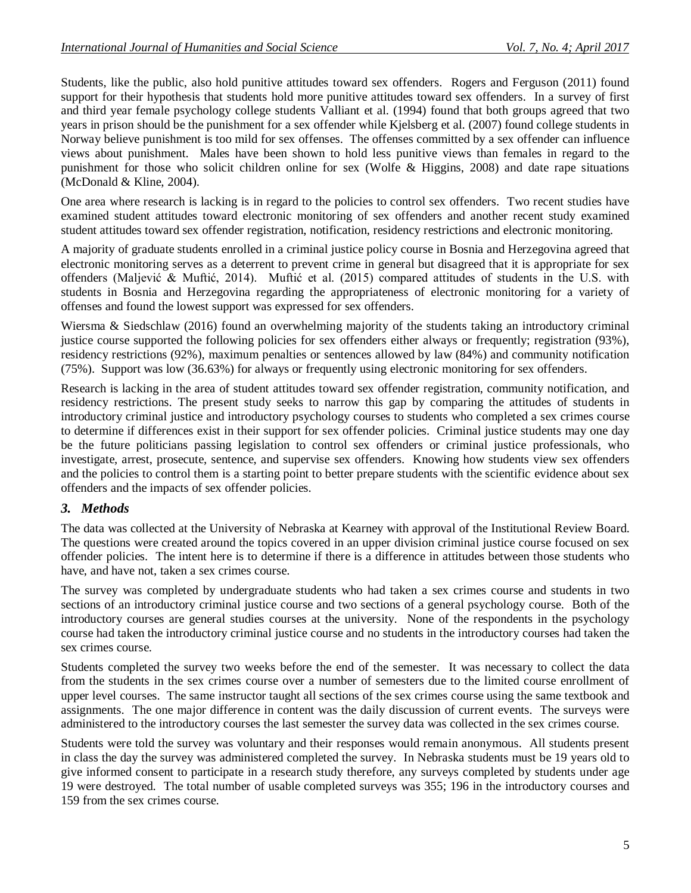Students, like the public, also hold punitive attitudes toward sex offenders. Rogers and Ferguson (2011) found support for their hypothesis that students hold more punitive attitudes toward sex offenders. In a survey of first and third year female psychology college students Valliant et al. (1994) found that both groups agreed that two years in prison should be the punishment for a sex offender while Kjelsberg et al. (2007) found college students in Norway believe punishment is too mild for sex offenses. The offenses committed by a sex offender can influence views about punishment. Males have been shown to hold less punitive views than females in regard to the punishment for those who solicit children online for sex (Wolfe & Higgins, 2008) and date rape situations (McDonald & Kline, 2004).

One area where research is lacking is in regard to the policies to control sex offenders. Two recent studies have examined student attitudes toward electronic monitoring of sex offenders and another recent study examined student attitudes toward sex offender registration, notification, residency restrictions and electronic monitoring.

A majority of graduate students enrolled in a criminal justice policy course in Bosnia and Herzegovina agreed that electronic monitoring serves as a deterrent to prevent crime in general but disagreed that it is appropriate for sex offenders (Maljević & Muftić, 2014). Muftić et al. (2015) compared attitudes of students in the U.S. with students in Bosnia and Herzegovina regarding the appropriateness of electronic monitoring for a variety of offenses and found the lowest support was expressed for sex offenders.

Wiersma & Siedschlaw (2016) found an overwhelming majority of the students taking an introductory criminal justice course supported the following policies for sex offenders either always or frequently; registration (93%), residency restrictions (92%), maximum penalties or sentences allowed by law (84%) and community notification (75%). Support was low (36.63%) for always or frequently using electronic monitoring for sex offenders.

Research is lacking in the area of student attitudes toward sex offender registration, community notification, and residency restrictions. The present study seeks to narrow this gap by comparing the attitudes of students in introductory criminal justice and introductory psychology courses to students who completed a sex crimes course to determine if differences exist in their support for sex offender policies. Criminal justice students may one day be the future politicians passing legislation to control sex offenders or criminal justice professionals, who investigate, arrest, prosecute, sentence, and supervise sex offenders. Knowing how students view sex offenders and the policies to control them is a starting point to better prepare students with the scientific evidence about sex offenders and the impacts of sex offender policies.

# *3. Methods*

The data was collected at the University of Nebraska at Kearney with approval of the Institutional Review Board. The questions were created around the topics covered in an upper division criminal justice course focused on sex offender policies. The intent here is to determine if there is a difference in attitudes between those students who have, and have not, taken a sex crimes course.

The survey was completed by undergraduate students who had taken a sex crimes course and students in two sections of an introductory criminal justice course and two sections of a general psychology course. Both of the introductory courses are general studies courses at the university. None of the respondents in the psychology course had taken the introductory criminal justice course and no students in the introductory courses had taken the sex crimes course.

Students completed the survey two weeks before the end of the semester. It was necessary to collect the data from the students in the sex crimes course over a number of semesters due to the limited course enrollment of upper level courses. The same instructor taught all sections of the sex crimes course using the same textbook and assignments. The one major difference in content was the daily discussion of current events. The surveys were administered to the introductory courses the last semester the survey data was collected in the sex crimes course.

Students were told the survey was voluntary and their responses would remain anonymous. All students present in class the day the survey was administered completed the survey. In Nebraska students must be 19 years old to give informed consent to participate in a research study therefore, any surveys completed by students under age 19 were destroyed. The total number of usable completed surveys was 355; 196 in the introductory courses and 159 from the sex crimes course.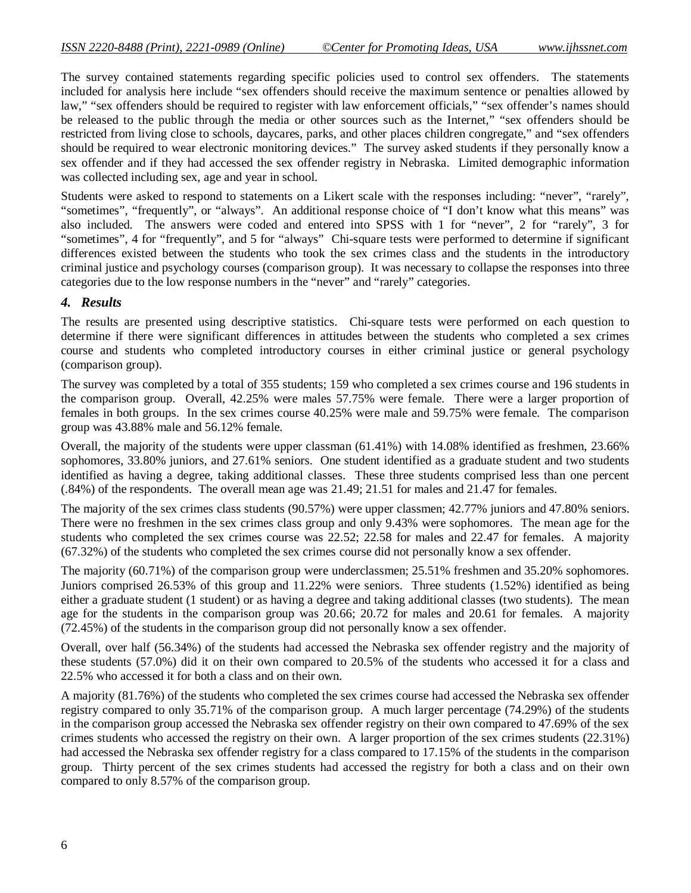The survey contained statements regarding specific policies used to control sex offenders. The statements included for analysis here include "sex offenders should receive the maximum sentence or penalties allowed by law," "sex offenders should be required to register with law enforcement officials," "sex offender's names should be released to the public through the media or other sources such as the Internet," "sex offenders should be restricted from living close to schools, daycares, parks, and other places children congregate," and "sex offenders should be required to wear electronic monitoring devices." The survey asked students if they personally know a sex offender and if they had accessed the sex offender registry in Nebraska. Limited demographic information was collected including sex, age and year in school.

Students were asked to respond to statements on a Likert scale with the responses including: "never", "rarely", "sometimes", "frequently", or "always". An additional response choice of "I don't know what this means" was also included. The answers were coded and entered into SPSS with 1 for "never", 2 for "rarely", 3 for "sometimes", 4 for "frequently", and 5 for "always" Chi-square tests were performed to determine if significant differences existed between the students who took the sex crimes class and the students in the introductory criminal justice and psychology courses (comparison group). It was necessary to collapse the responses into three categories due to the low response numbers in the "never" and "rarely" categories.

#### *4. Results*

The results are presented using descriptive statistics. Chi-square tests were performed on each question to determine if there were significant differences in attitudes between the students who completed a sex crimes course and students who completed introductory courses in either criminal justice or general psychology (comparison group).

The survey was completed by a total of 355 students; 159 who completed a sex crimes course and 196 students in the comparison group. Overall, 42.25% were males 57.75% were female. There were a larger proportion of females in both groups. In the sex crimes course 40.25% were male and 59.75% were female. The comparison group was 43.88% male and 56.12% female.

Overall, the majority of the students were upper classman (61.41%) with 14.08% identified as freshmen, 23.66% sophomores, 33.80% juniors, and 27.61% seniors. One student identified as a graduate student and two students identified as having a degree, taking additional classes. These three students comprised less than one percent (.84%) of the respondents. The overall mean age was 21.49; 21.51 for males and 21.47 for females.

The majority of the sex crimes class students (90.57%) were upper classmen; 42.77% juniors and 47.80% seniors. There were no freshmen in the sex crimes class group and only 9.43% were sophomores. The mean age for the students who completed the sex crimes course was 22.52; 22.58 for males and 22.47 for females. A majority (67.32%) of the students who completed the sex crimes course did not personally know a sex offender.

The majority (60.71%) of the comparison group were underclassmen; 25.51% freshmen and 35.20% sophomores. Juniors comprised 26.53% of this group and 11.22% were seniors. Three students (1.52%) identified as being either a graduate student (1 student) or as having a degree and taking additional classes (two students). The mean age for the students in the comparison group was 20.66; 20.72 for males and 20.61 for females. A majority (72.45%) of the students in the comparison group did not personally know a sex offender.

Overall, over half (56.34%) of the students had accessed the Nebraska sex offender registry and the majority of these students (57.0%) did it on their own compared to 20.5% of the students who accessed it for a class and 22.5% who accessed it for both a class and on their own.

A majority (81.76%) of the students who completed the sex crimes course had accessed the Nebraska sex offender registry compared to only 35.71% of the comparison group. A much larger percentage (74.29%) of the students in the comparison group accessed the Nebraska sex offender registry on their own compared to 47.69% of the sex crimes students who accessed the registry on their own. A larger proportion of the sex crimes students (22.31%) had accessed the Nebraska sex offender registry for a class compared to 17.15% of the students in the comparison group. Thirty percent of the sex crimes students had accessed the registry for both a class and on their own compared to only 8.57% of the comparison group.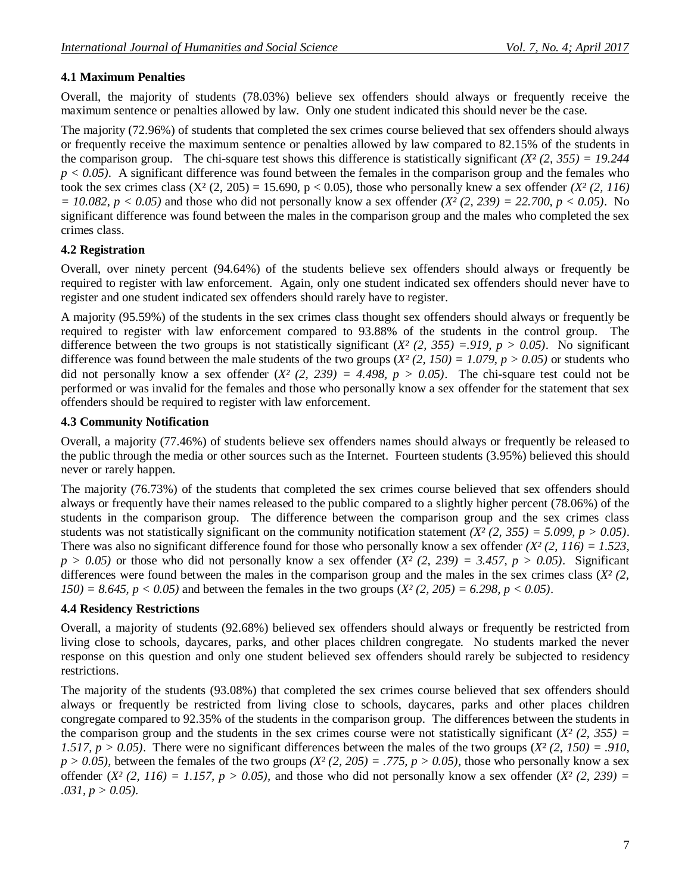# **4.1 Maximum Penalties**

Overall, the majority of students (78.03%) believe sex offenders should always or frequently receive the maximum sentence or penalties allowed by law. Only one student indicated this should never be the case.

The majority (72.96%) of students that completed the sex crimes course believed that sex offenders should always or frequently receive the maximum sentence or penalties allowed by law compared to 82.15% of the students in the comparison group. The chi-square test shows this difference is statistically significant  $(X^2 (2, 355) = 19.244$ *p < 0.05)*. A significant difference was found between the females in the comparison group and the females who took the sex crimes class  $(X^2 (2, 205) = 15.690, p < 0.05)$ , those who personally knew a sex offender  $(X^2 (2, 116))$ *= 10.082, p < 0.05)* and those who did not personally know a sex offender *(X² (2, 239) = 22.700, p < 0.05)*. No significant difference was found between the males in the comparison group and the males who completed the sex crimes class.

### **4.2 Registration**

Overall, over ninety percent (94.64%) of the students believe sex offenders should always or frequently be required to register with law enforcement. Again, only one student indicated sex offenders should never have to register and one student indicated sex offenders should rarely have to register.

A majority (95.59%) of the students in the sex crimes class thought sex offenders should always or frequently be required to register with law enforcement compared to 93.88% of the students in the control group. The difference between the two groups is not statistically significant  $(X<sup>2</sup> (2, 355) = 919, p > 0.05)$ . No significant difference was found between the male students of the two groups  $(X^2(2, 150) = 1.079, p > 0.05)$  or students who did not personally know a sex offender  $(X^2 (2, 239) = 4.498$ ,  $p > 0.05)$ . The chi-square test could not be performed or was invalid for the females and those who personally know a sex offender for the statement that sex offenders should be required to register with law enforcement.

### **4.3 Community Notification**

Overall, a majority (77.46%) of students believe sex offenders names should always or frequently be released to the public through the media or other sources such as the Internet. Fourteen students (3.95%) believed this should never or rarely happen.

The majority (76.73%) of the students that completed the sex crimes course believed that sex offenders should always or frequently have their names released to the public compared to a slightly higher percent (78.06%) of the students in the comparison group. The difference between the comparison group and the sex crimes class students was not statistically significant on the community notification statement  $(X<sup>2</sup>(2, 355) = 5.099, p > 0.05)$ . There was also no significant difference found for those who personally know a sex offender  $(X^2/2, 116) = 1.523$ ,  $p > 0.05$ ) or those who did not personally know a sex offender  $(X<sup>2</sup>(2, 239) = 3.457, p > 0.05)$ . Significant differences were found between the males in the comparison group and the males in the sex crimes class  $(X<sup>2</sup> (2,$ *150)* = 8.645,  $p < 0.05$ ) and between the females in the two groups  $(X^2 (2, 205) = 6.298, p < 0.05)$ .

# **4.4 Residency Restrictions**

Overall, a majority of students (92.68%) believed sex offenders should always or frequently be restricted from living close to schools, daycares, parks, and other places children congregate. No students marked the never response on this question and only one student believed sex offenders should rarely be subjected to residency restrictions.

The majority of the students (93.08%) that completed the sex crimes course believed that sex offenders should always or frequently be restricted from living close to schools, daycares, parks and other places children congregate compared to 92.35% of the students in the comparison group. The differences between the students in the comparison group and the students in the sex crimes course were not statistically significant  $(X<sup>2</sup> (2, 355) =$ *1.517, p > 0.05*). There were no significant differences between the males of the two groups  $(X^2 (2, 150) = .910$ .  $p > 0.05$ ), between the females of the two groups  $(X<sup>2</sup>(2, 205) = .775, p > 0.05)$ , those who personally know a sex offender  $(X^2 (2, 116) = 1.157, p > 0.05)$ , and those who did not personally know a sex offender  $(X^2 (2, 239) =$ *.031, p > 0.05).*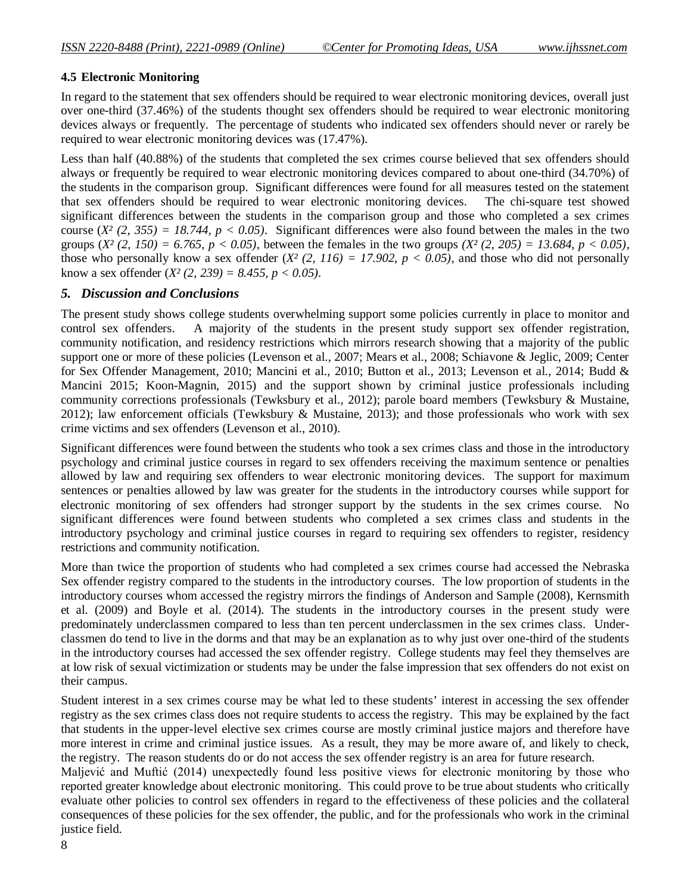#### **4.5 Electronic Monitoring**

In regard to the statement that sex offenders should be required to wear electronic monitoring devices, overall just over one-third (37.46%) of the students thought sex offenders should be required to wear electronic monitoring devices always or frequently. The percentage of students who indicated sex offenders should never or rarely be required to wear electronic monitoring devices was (17.47%).

Less than half (40.88%) of the students that completed the sex crimes course believed that sex offenders should always or frequently be required to wear electronic monitoring devices compared to about one-third (34.70%) of the students in the comparison group. Significant differences were found for all measures tested on the statement that sex offenders should be required to wear electronic monitoring devices. The chi-square test showed significant differences between the students in the comparison group and those who completed a sex crimes course  $(X^2 (2, 355) = 18.744$ ,  $p < 0.05$ ). Significant differences were also found between the males in the two groups (*X² (2, 150) = 6.765, p < 0.05)*, between the females in the two groups *(X² (2, 205) = 13.684, p < 0.05)*, those who personally know a sex offender  $(X^2 (2, 116) = 17.902$ ,  $p < 0.05$ ), and those who did not personally know a sex offender (*X² (2, 239) = 8.455, p < 0.05)*.

#### *5. Discussion and Conclusions*

The present study shows college students overwhelming support some policies currently in place to monitor and control sex offenders. A majority of the students in the present study support sex offender registration, community notification, and residency restrictions which mirrors research showing that a majority of the public support one or more of these policies (Levenson et al., 2007; Mears et al., 2008; Schiavone & Jeglic, 2009; Center for Sex Offender Management, 2010; Mancini et al., 2010; Button et al., 2013; Levenson et al., 2014; Budd & Mancini 2015; Koon-Magnin, 2015) and the support shown by criminal justice professionals including community corrections professionals (Tewksbury et al., 2012); parole board members (Tewksbury & Mustaine, 2012); law enforcement officials (Tewksbury & Mustaine, 2013); and those professionals who work with sex crime victims and sex offenders (Levenson et al., 2010).

Significant differences were found between the students who took a sex crimes class and those in the introductory psychology and criminal justice courses in regard to sex offenders receiving the maximum sentence or penalties allowed by law and requiring sex offenders to wear electronic monitoring devices. The support for maximum sentences or penalties allowed by law was greater for the students in the introductory courses while support for electronic monitoring of sex offenders had stronger support by the students in the sex crimes course. No significant differences were found between students who completed a sex crimes class and students in the introductory psychology and criminal justice courses in regard to requiring sex offenders to register, residency restrictions and community notification.

More than twice the proportion of students who had completed a sex crimes course had accessed the Nebraska Sex offender registry compared to the students in the introductory courses. The low proportion of students in the introductory courses whom accessed the registry mirrors the findings of Anderson and Sample (2008), Kernsmith et al. (2009) and Boyle et al. (2014). The students in the introductory courses in the present study were predominately underclassmen compared to less than ten percent underclassmen in the sex crimes class. Underclassmen do tend to live in the dorms and that may be an explanation as to why just over one-third of the students in the introductory courses had accessed the sex offender registry. College students may feel they themselves are at low risk of sexual victimization or students may be under the false impression that sex offenders do not exist on their campus.

Student interest in a sex crimes course may be what led to these students' interest in accessing the sex offender registry as the sex crimes class does not require students to access the registry. This may be explained by the fact that students in the upper-level elective sex crimes course are mostly criminal justice majors and therefore have more interest in crime and criminal justice issues. As a result, they may be more aware of, and likely to check, the registry. The reason students do or do not access the sex offender registry is an area for future research.

Maljević and Muftić (2014) unexpectedly found less positive views for electronic monitoring by those who reported greater knowledge about electronic monitoring. This could prove to be true about students who critically evaluate other policies to control sex offenders in regard to the effectiveness of these policies and the collateral consequences of these policies for the sex offender, the public, and for the professionals who work in the criminal justice field.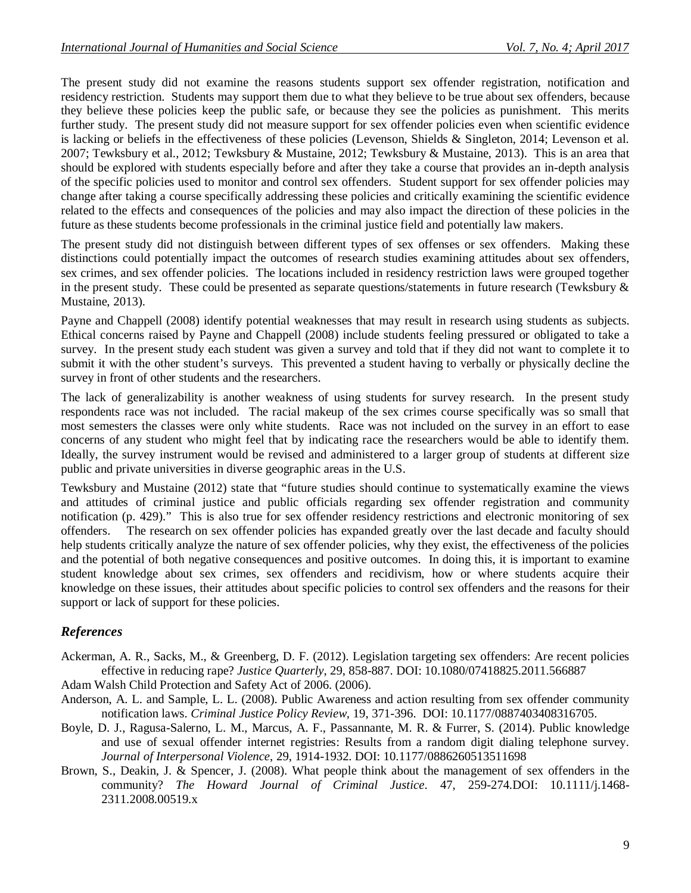The present study did not examine the reasons students support sex offender registration, notification and residency restriction. Students may support them due to what they believe to be true about sex offenders, because they believe these policies keep the public safe, or because they see the policies as punishment. This merits further study. The present study did not measure support for sex offender policies even when scientific evidence is lacking or beliefs in the effectiveness of these policies (Levenson, Shields & Singleton, 2014; Levenson et al. 2007; Tewksbury et al., 2012; Tewksbury & Mustaine, 2012; Tewksbury & Mustaine, 2013). This is an area that should be explored with students especially before and after they take a course that provides an in-depth analysis of the specific policies used to monitor and control sex offenders. Student support for sex offender policies may change after taking a course specifically addressing these policies and critically examining the scientific evidence related to the effects and consequences of the policies and may also impact the direction of these policies in the future as these students become professionals in the criminal justice field and potentially law makers.

The present study did not distinguish between different types of sex offenses or sex offenders. Making these distinctions could potentially impact the outcomes of research studies examining attitudes about sex offenders, sex crimes, and sex offender policies. The locations included in residency restriction laws were grouped together in the present study. These could be presented as separate questions/statements in future research (Tewksbury  $\&$ Mustaine, 2013).

Payne and Chappell (2008) identify potential weaknesses that may result in research using students as subjects. Ethical concerns raised by Payne and Chappell (2008) include students feeling pressured or obligated to take a survey. In the present study each student was given a survey and told that if they did not want to complete it to submit it with the other student's surveys. This prevented a student having to verbally or physically decline the survey in front of other students and the researchers.

The lack of generalizability is another weakness of using students for survey research. In the present study respondents race was not included. The racial makeup of the sex crimes course specifically was so small that most semesters the classes were only white students. Race was not included on the survey in an effort to ease concerns of any student who might feel that by indicating race the researchers would be able to identify them. Ideally, the survey instrument would be revised and administered to a larger group of students at different size public and private universities in diverse geographic areas in the U.S.

Tewksbury and Mustaine (2012) state that "future studies should continue to systematically examine the views and attitudes of criminal justice and public officials regarding sex offender registration and community notification (p. 429)." This is also true for sex offender residency restrictions and electronic monitoring of sex offenders. The research on sex offender policies has expanded greatly over the last decade and faculty should help students critically analyze the nature of sex offender policies, why they exist, the effectiveness of the policies and the potential of both negative consequences and positive outcomes. In doing this, it is important to examine student knowledge about sex crimes, sex offenders and recidivism, how or where students acquire their knowledge on these issues, their attitudes about specific policies to control sex offenders and the reasons for their support or lack of support for these policies.

# *References*

Ackerman, A. R., Sacks, M., & Greenberg, D. F. (2012). Legislation targeting sex offenders: Are recent policies effective in reducing rape? *Justice Quarterly*, 29, 858-887. DOI: 10.1080/07418825.2011.566887

Adam Walsh Child Protection and Safety Act of 2006. (2006).

- Anderson, A. L. and Sample, L. L. (2008). Public Awareness and action resulting from sex offender community notification laws. *Criminal Justice Policy Review,* 19, 371-396. DOI: 10.1177/0887403408316705.
- Boyle, D. J., Ragusa-Salerno, L. M., Marcus, A. F., Passannante, M. R. & Furrer, S. (2014). Public knowledge and use of sexual offender internet registries: Results from a random digit dialing telephone survey. *Journal of Interpersonal Violence*, 29, 1914-1932. DOI: 10.1177/0886260513511698
- Brown, S., Deakin, J. & Spencer, J. (2008). What people think about the management of sex offenders in the community? *The Howard Journal of Criminal Justice*. 47, 259-274.DOI: 10.1111/j.1468- 2311.2008.00519.x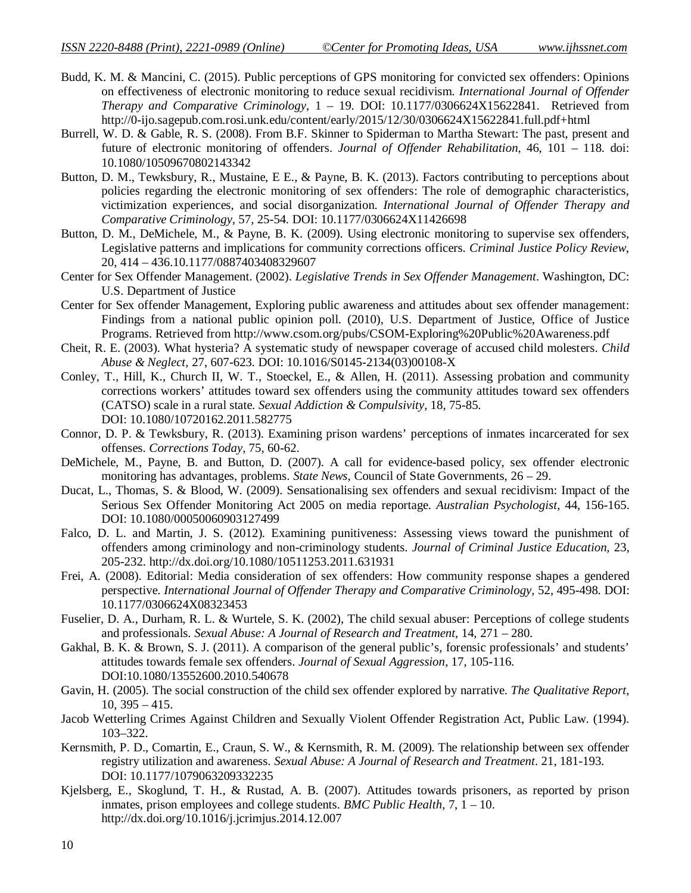- Budd, K. M. & Mancini, C. (2015). Public perceptions of GPS monitoring for convicted sex offenders: Opinions on effectiveness of electronic monitoring to reduce sexual recidivism. *International Journal of Offender Therapy and Comparative Criminology*, 1 – 19. DOI: 10.1177/0306624X15622841. Retrieved from http://0-ijo.sagepub.com.rosi.unk.edu/content/early/2015/12/30/0306624X15622841.full.pdf+html
- Burrell, W. D. & Gable, R. S. (2008). From B.F. Skinner to Spiderman to Martha Stewart: The past, present and future of electronic monitoring of offenders. *Journal of Offender Rehabilitation*, 46, 101 – 118. doi: 10.1080/10509670802143342
- Button, D. M., Tewksbury, R., Mustaine, E E., & Payne, B. K. (2013). Factors contributing to perceptions about policies regarding the electronic monitoring of sex offenders: The role of demographic characteristics, victimization experiences, and social disorganization. *International Journal of Offender Therapy and Comparative Criminology,* 57, 25-54. DOI: 10.1177/0306624X11426698
- Button, D. M., DeMichele, M., & Payne, B. K. (2009). Using electronic monitoring to supervise sex offenders, Legislative patterns and implications for community corrections officers. *Criminal Justice Policy Review*, 20, 414 – 436.10.1177/0887403408329607
- Center for Sex Offender Management. (2002). *Legislative Trends in Sex Offender Management*. Washington, DC: U.S. Department of Justice
- Center for Sex offender Management, Exploring public awareness and attitudes about sex offender management: Findings from a national public opinion poll. (2010), U.S. Department of Justice, Office of Justice Programs. Retrieved from http://www.csom.org/pubs/CSOM-Exploring%20Public%20Awareness.pdf
- Cheit, R. E. (2003). What hysteria? A systematic study of newspaper coverage of accused child molesters. *Child Abuse & Neglect,* 27, 607-623. DOI: 10.1016/S0145-2134(03)00108-X
- Conley, T., Hill, K., Church II, W. T., Stoeckel, E., & Allen, H. (2011). Assessing probation and community corrections workers' attitudes toward sex offenders using the community attitudes toward sex offenders (CATSO) scale in a rural state. *Sexual Addiction & Compulsivity*, 18, 75-85. DOI: 10.1080/10720162.2011.582775
- Connor, D. P. & Tewksbury, R. (2013). Examining prison wardens' perceptions of inmates incarcerated for sex offenses. *Corrections Today*, 75, 60-62.
- DeMichele, M., Payne, B. and Button, D. (2007). A call for evidence-based policy, sex offender electronic monitoring has advantages, problems. *State News*, Council of State Governments, 26 – 29.
- Ducat, L., Thomas, S. & Blood, W. (2009). Sensationalising sex offenders and sexual recidivism: Impact of the Serious Sex Offender Monitoring Act 2005 on media reportage. *Australian Psychologist*, 44, 156-165. DOI: 10.1080/00050060903127499
- Falco, D. L. and Martin, J. S. (2012). Examining punitiveness: Assessing views toward the punishment of offenders among criminology and non-criminology students. *Journal of Criminal Justice Education,* 23, 205-232. http://dx.doi.org/10.1080/10511253.2011.631931
- Frei, A. (2008). Editorial: Media consideration of sex offenders: How community response shapes a gendered perspective. *International Journal of Offender Therapy and Comparative Criminology,* 52, 495-498. DOI: 10.1177/0306624X08323453
- Fuselier, D. A., Durham, R. L. & Wurtele, S. K. (2002), The child sexual abuser: Perceptions of college students and professionals. *Sexual Abuse: A Journal of Research and Treatment*, 14, 271 – 280.
- Gakhal, B. K. & Brown, S. J. (2011). A comparison of the general public's, forensic professionals' and students' attitudes towards female sex offenders. *Journal of Sexual Aggression*, 17, 105-116. DOI:10.1080/13552600.2010.540678
- Gavin, H. (2005). The social construction of the child sex offender explored by narrative. *The Qualitative Report*, 10, 395 – 415.
- Jacob Wetterling Crimes Against Children and Sexually Violent Offender Registration Act, Public Law. (1994). 103–322.
- Kernsmith, P. D., Comartin, E., Craun, S. W., & Kernsmith, R. M. (2009). The relationship between sex offender registry utilization and awareness. *Sexual Abuse: A Journal of Research and Treatment*. 21, 181-193. DOI: 10.1177/1079063209332235
- Kjelsberg, E., Skoglund, T. H., & Rustad, A. B. (2007). Attitudes towards prisoners, as reported by prison inmates, prison employees and college students. *BMC Public Health*, 7, 1 – 10. http://dx.doi.org/10.1016/j.jcrimjus.2014.12.007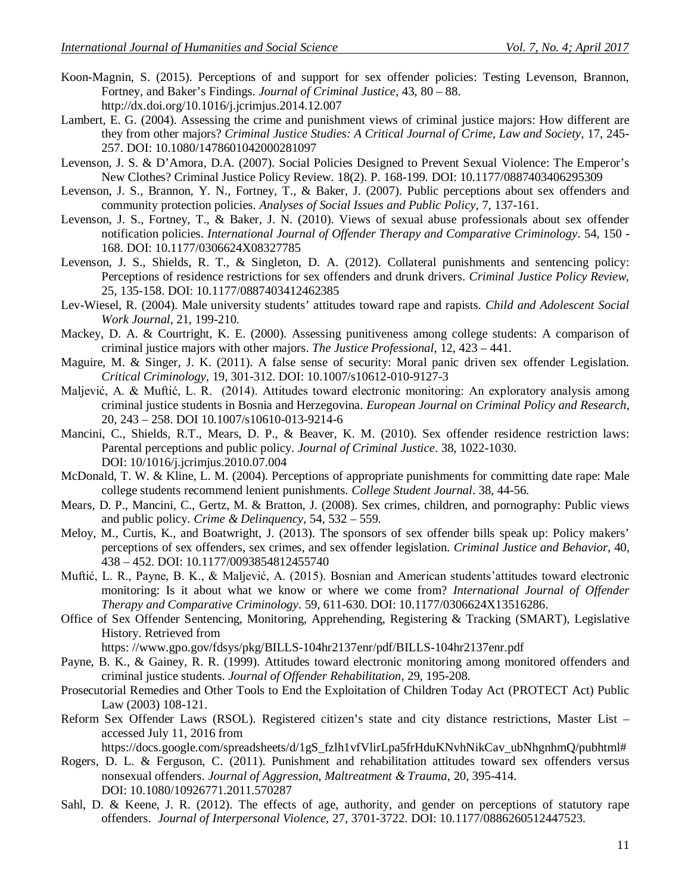- Koon-Magnin, S. (2015). Perceptions of and support for sex offender policies: Testing Levenson, Brannon, Fortney, and Baker's Findings. *Journal of Criminal Justice*, 43, 80 – 88. http://dx.doi.org/10.1016/j.jcrimjus.2014.12.007
- Lambert, E. G. (2004). Assessing the crime and punishment views of criminal justice majors: How different are they from other majors? *Criminal Justice Studies: A Critical Journal of Crime, Law and Society*, 17, 245- 257. DOI: 10.1080/1478601042000281097
- Levenson, J. S. & D'Amora, D.A. (2007). Social Policies Designed to Prevent Sexual Violence: The Emperor's New Clothes? Criminal Justice Policy Review. 18(2). P. 168-199. DOI: 10.1177/0887403406295309
- Levenson, J. S., Brannon, Y. N., Fortney, T., & Baker, J. (2007). Public perceptions about sex offenders and community protection policies. *Analyses of Social Issues and Public Policy*, 7, 137-161.
- Levenson, J. S., Fortney, T., & Baker, J. N. (2010). Views of sexual abuse professionals about sex offender notification policies. *International Journal of Offender Therapy and Comparative Criminology*. 54, 150 - 168. DOI: 10.1177/0306624X08327785
- Levenson, J. S., Shields, R. T., & Singleton, D. A. (2012). Collateral punishments and sentencing policy: Perceptions of residence restrictions for sex offenders and drunk drivers. *Criminal Justice Policy Review,* 25, 135-158. DOI: 10.1177/0887403412462385
- Lev-Wiesel, R. (2004). Male university students' attitudes toward rape and rapists. *Child and Adolescent Social Work Journal*, 21, 199-210.
- Mackey, D. A. & Courtright, K. E. (2000). Assessing punitiveness among college students: A comparison of criminal justice majors with other majors. *The Justice Professional*, 12, 423 – 441.
- Maguire, M. & Singer, J. K. (2011). A false sense of security: Moral panic driven sex offender Legislation. *Critical Criminology,* 19, 301-312. DOI: 10.1007/s10612-010-9127-3
- Maljević, A. & Muftić, L. R. (2014). Attitudes toward electronic monitoring: An exploratory analysis among criminal justice students in Bosnia and Herzegovina. *European Journal on Criminal Policy and Research*, 20, 243 – 258. DOI 10.1007/s10610-013-9214-6
- Mancini, C., Shields, R.T., Mears, D. P., & Beaver, K. M. (2010). Sex offender residence restriction laws: Parental perceptions and public policy. *Journal of Criminal Justice*. 38, 1022-1030. DOI: 10/1016/j.jcrimjus.2010.07.004
- McDonald, T. W. & Kline, L. M. (2004). Perceptions of appropriate punishments for committing date rape: Male college students recommend lenient punishments. *College Student Journal*. 38, 44-56.
- Mears, D. P., Mancini, C., Gertz, M. & Bratton, J. (2008). Sex crimes, children, and pornography: Public views and public policy. *Crime & Delinquency*, 54, 532 – 559.
- Meloy, M., Curtis, K., and Boatwright, J. (2013). The sponsors of sex offender bills speak up: Policy makers' perceptions of sex offenders, sex crimes, and sex offender legislation. *Criminal Justice and Behavior*, 40, 438 – 452. DOI: 10.1177/0093854812455740
- Muftić, L. R., Payne, B. K., & Maljević, A. (2015). Bosnian and American students'attitudes toward electronic monitoring: Is it about what we know or where we come from? *International Journal of Offender Therapy and Comparative Criminology*. 59, 611-630. DOI: 10.1177/0306624X13516286.
- Office of Sex Offender Sentencing, Monitoring, Apprehending, Registering & Tracking (SMART), Legislative History. Retrieved from

https: //www.gpo.gov/fdsys/pkg/BILLS-104hr2137enr/pdf/BILLS-104hr2137enr.pdf

- Payne, B. K., & Gainey, R. R. (1999). Attitudes toward electronic monitoring among monitored offenders and criminal justice students. *Journal of Offender Rehabilitation*, 29, 195-208.
- Prosecutorial Remedies and Other Tools to End the Exploitation of Children Today Act (PROTECT Act) Public Law (2003) 108-121.
- Reform Sex Offender Laws (RSOL). Registered citizen's state and city distance restrictions, Master List accessed July 11, 2016 from
- https://docs.google.com/spreadsheets/d/1gS\_fzlh1vfVlirLpa5frHduKNvhNikCav\_ubNhgnhmQ/pubhtml# Rogers, D. L. & Ferguson, C. (2011). Punishment and rehabilitation attitudes toward sex offenders versus
- nonsexual offenders. *Journal of Aggression, Maltreatment & Trauma*, 20, 395-414. DOI: 10.1080/10926771.2011.570287
- Sahl, D. & Keene, J. R. (2012). The effects of age, authority, and gender on perceptions of statutory rape offenders. *Journal of Interpersonal Violence,* 27, 3701-3722. DOI: 10.1177/0886260512447523.